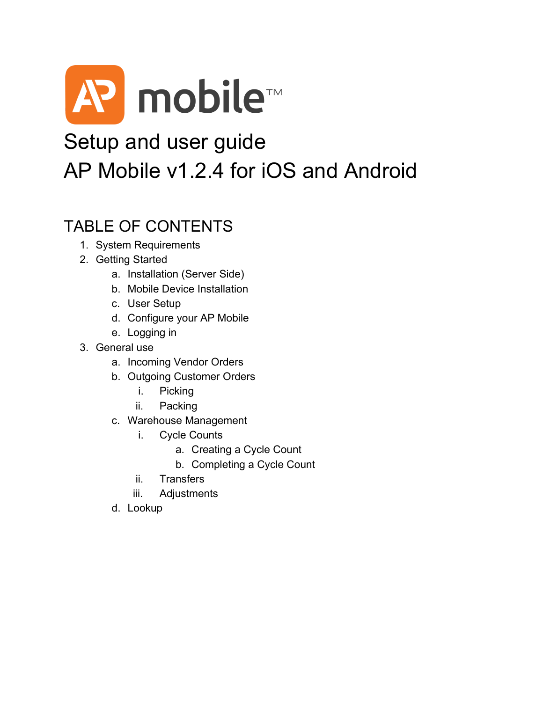

## Setup and user guide AP Mobile v1.2.4 for iOS and Android

## TABLE OF CONTENTS

- 1. System Requirements
- 2. Getting Started
	- a. Installation (Server Side)
	- b. Mobile Device Installation
	- c. User Setup
	- d. Configure your AP Mobile
	- e. Logging in
- 3. General use
	- a. Incoming Vendor Orders
	- b. Outgoing Customer Orders
		- i. Picking
		- ii. Packing
	- c. Warehouse Management
		- i. Cycle Counts
			- a. Creating a Cycle Count
			- b. Completing a Cycle Count
		- ii. Transfers
		- iii. Adjustments
	- d. Lookup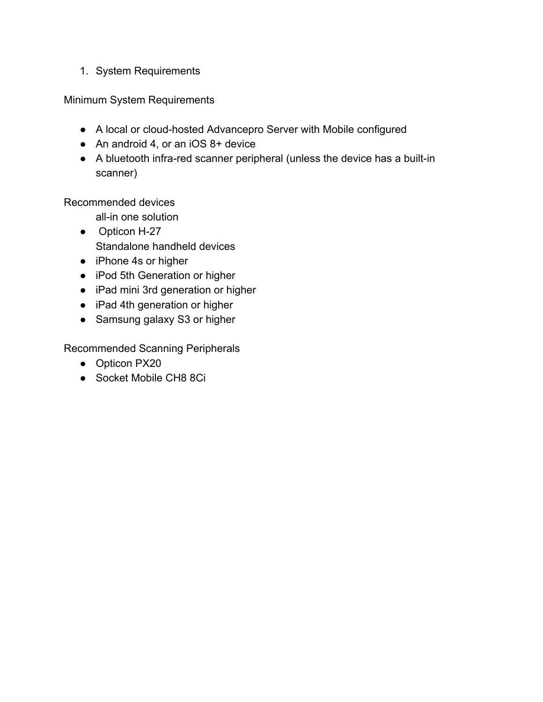1. System Requirements

Minimum System Requirements

- A local or cloud-hosted Advancepro Server with Mobile configured
- An android 4, or an iOS 8+ device
- $\bullet$  A bluetooth infra-red scanner peripheral (unless the device has a built-in scanner)

Recommended devices

all-in one solution

- Opticon H-27 Standalone handheld devices
- iPhone 4s or higher
- iPod 5th Generation or higher
- iPad mini 3rd generation or higher
- iPad 4th generation or higher
- Samsung galaxy S3 or higher

Recommended Scanning Peripherals

- Opticon PX20
- Socket Mobile CH8 8Ci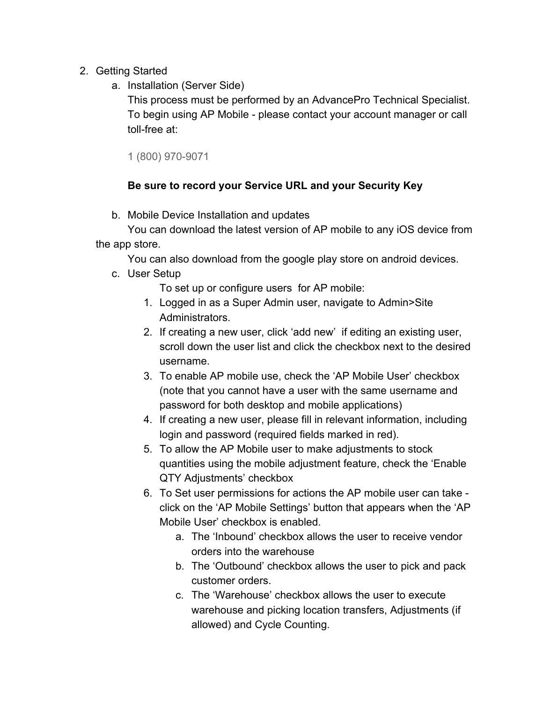- 2. Getting Started
	- a. Installation (Server Side)

This process must be performed by an AdvancePro Technical Specialist. To begin using AP Mobile - please contact your account manager or call toll-free at:

1 (800) 970-9071

## **Be sure to record your Service URL and your Security Key**

b. Mobile Device Installation and updates

You can download the latest version of AP mobile to any iOS device from the app store.

You can also download from the google play store on android devices.

c. User Setup

To set up or configure users for AP mobile:

- 1. Logged in as a Super Admin user, navigate to Admin>Site Administrators.
- 2. If creating a new user, click 'add new' if editing an existing user, scroll down the user list and click the checkbox next to the desired username.
- 3. To enable AP mobile use, check the 'AP Mobile User' checkbox (note that you cannot have a user with the same username and password for both desktop and mobile applications)
- 4. If creating a new user, please fill in relevant information, including login and password (required fields marked in red).
- 5. To allow the AP Mobile user to make adjustments to stock quantities using the mobile adjustment feature, check the 'Enable QTY Adjustments' checkbox
- 6. To Set user permissions for actions the AP mobile user can take click on the 'AP Mobile Settings' button that appears when the 'AP Mobile User' checkbox is enabled.
	- a. The 'Inbound' checkbox allows the user to receive vendor orders into the warehouse
	- b. The 'Outbound' checkbox allows the user to pick and pack customer orders.
	- c. The 'Warehouse' checkbox allows the user to execute warehouse and picking location transfers, Adjustments (if allowed) and Cycle Counting.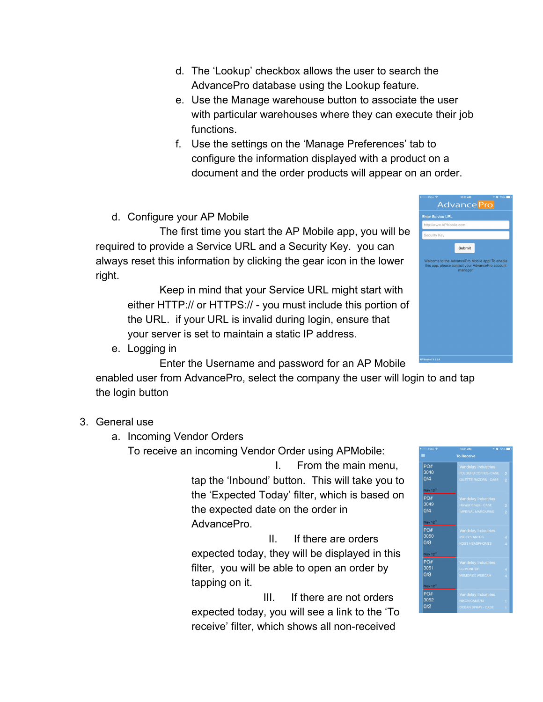- d. The 'Lookup' checkbox allows the user to search the AdvancePro database using the Lookup feature.
- e. Use the Manage warehouse button to associate the user with particular warehouses where they can execute their job functions.
- f. Use the settings on the 'Manage Preferences' tab to configure the information displayed with a product on a document and the order products will appear on an order.
- d. Configure your AP Mobile

The first time you start the AP Mobile app, you will be required to provide a Service URL and a Security Key. you can always reset this information by clicking the gear icon in the lower right.

Keep in mind that your Service URL might start with either HTTP:// or HTTPS:// - you must include this portion of the URL. if your URL is invalid during login, ensure that your server is set to maintain a static IP address.

e. Logging in

Enter the Username and password for an AP Mobile

enabled user from AdvancePro, select the company the user will login to and tap the login button

## 3. General use

- a. Incoming Vendor Orders
	- To receive an incoming Vendor Order using APMobile:

I. From the main menu, tap the 'Inbound' button. This will take you to the 'Expected Today' filter, which is based on the expected date on the order in AdvancePro.

II. If there are orders expected today, they will be displayed in this filter, you will be able to open an order by tapping on it.

III. If there are not orders expected today, you will see a link to the 'To receive' filter, which shows all non-received



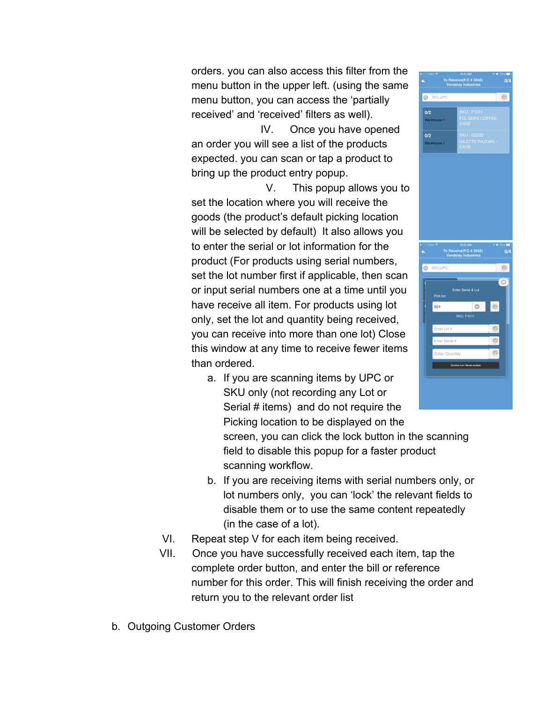orders. you can also access this filter from the menu button in the upper left. (using the same menu button, you can access the 'partially received' and 'received' filters as well).

IV. Once you have opened an order you will see a list of the products expected. you can scan or tap a product to bring up the product entry popup.

V. This popup allows you to set the location where you will receive the goods (the product's default picking location will be selected by default) It also allows you to enter the serial or lot information for the product (For products using serial numbers, set the lot number first if applicable, then scan or input serial numbers one at a time until you have receive all item. For products using lot only, set the lot and quantity being received, you can receive into more than one lot) Close this window at any time to receive fewer items than ordered.

a. If you are scanning items by UPC or SKU only (not recording any Lot or Serial # items) and do not require the Picking location to be displayed on the

screen, you can click the lock button in the scanning field to disable this popup for a faster product scanning workflow.

- b. If you are receiving items with serial numbers only, or lot numbers only, you can 'lock' the relevant fields to disable them or to use the same content repeatedly (in the case of a lot).
- VI. Repeat step V for each item being received.
- VII. Once you have successfully received each item, tap the complete order button, and enter the bill or reference number for this order. This will finish receiving the order and return you to the relevant order list
- b. Outgoing Customer Orders

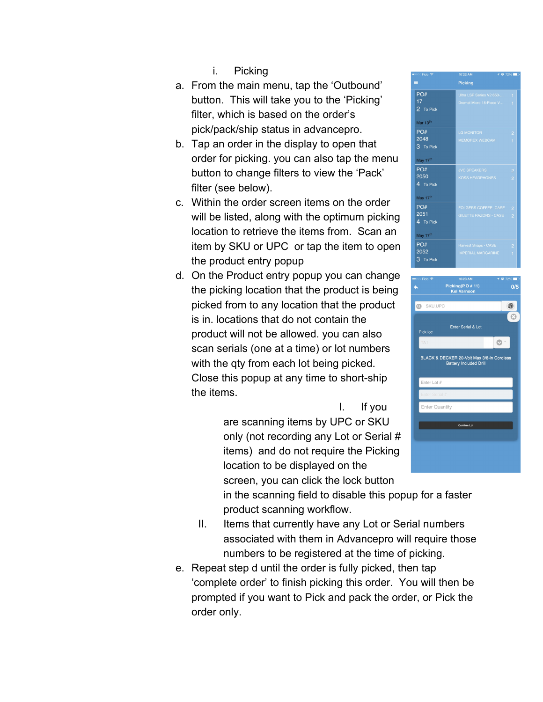- i. Picking
- a. From the main menu, tap the 'Outbound' button. This will take you to the 'Picking' filter, which is based on the order's pick/pack/ship status in advancepro.
- b. Tap an order in the display to open that order for picking. you can also tap the menu button to change filters to view the 'Pack' filter (see below).
- c. Within the order screen items on the order will be listed, along with the optimum picking location to retrieve the items from. Scan an item by SKU or UPC or tap the item to open the product entry popup
- d. On the Product entry popup you can change the picking location that the product is being picked from to any location that the product is in. locations that do not contain the product will not be allowed. you can also scan serials (one at a time) or lot numbers with the qty from each lot being picked. Close this popup at any time to short-ship the items.



in the scanning field to disable this popup for a faster product scanning workflow.

- II. Items that currently have any Lot or Serial numbers associated with them in Advancepro will require those numbers to be registered at the time of picking.
- e. Repeat step d until the order is fully picked, then tap 'complete order' to finish picking this order. You will then be prompted if you want to Pick and pack the order, or Pick the order only.



| ං Fido <mark>ବ</mark>      | 10:23 AM                                                                    | $7072\%$ |
|----------------------------|-----------------------------------------------------------------------------|----------|
|                            | Picking(P.O # 11)<br><b>Kel Varnson</b>                                     | 0/5      |
|                            |                                                                             |          |
| SKU, UPC<br>$\circledcirc$ |                                                                             | ¥        |
|                            |                                                                             |          |
| Pick loc                   | Enter Serial & Lot                                                          |          |
| TA1                        |                                                                             |          |
|                            | BLACK & DECKER 20-Volt Max 3/8-in Cordless<br><b>Battery Included Drill</b> |          |
| Enter Lot #                |                                                                             |          |
| Enter Serial #             |                                                                             |          |
| <b>Enter Quantity</b>      |                                                                             |          |
|                            |                                                                             |          |
|                            | Confirm Lot                                                                 |          |
|                            |                                                                             |          |
|                            |                                                                             |          |
|                            |                                                                             |          |
|                            |                                                                             |          |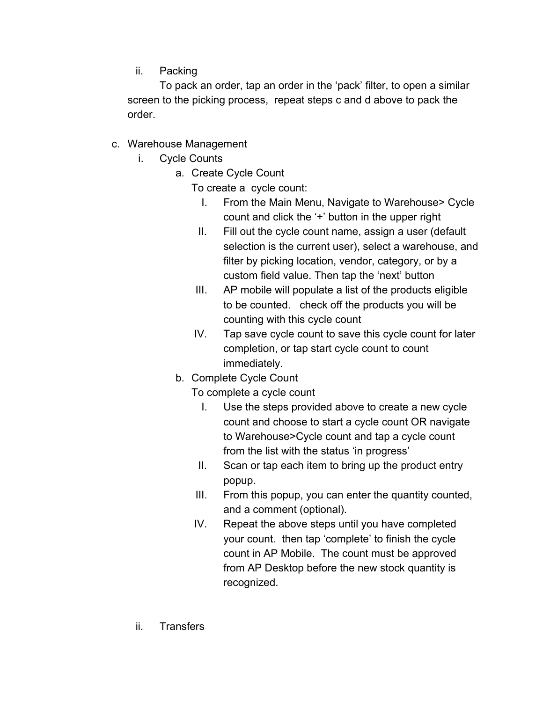ii. Packing

To pack an order, tap an order in the 'pack' filter, to open a similar screen to the picking process, repeat steps c and d above to pack the order.

- c. Warehouse Management
	- i. Cycle Counts
		- a. Create Cycle Count
			- To create a cycle count:
				- I. From the Main Menu, Navigate to Warehouse> Cycle count and click the '+' button in the upper right
				- II. Fill out the cycle count name, assign a user (default selection is the current user), select a warehouse, and filter by picking location, vendor, category, or by a custom field value. Then tap the 'next' button
			- III. AP mobile will populate a list of the products eligible to be counted. check off the products you will be counting with this cycle count
			- IV. Tap save cycle count to save this cycle count for later completion, or tap start cycle count to count immediately.
			- b. Complete Cycle Count
				- To complete a cycle count
					- I. Use the steps provided above to create a new cycle count and choose to start a cycle count OR navigate to Warehouse>Cycle count and tap a cycle count from the list with the status 'in progress'
				- II. Scan or tap each item to bring up the product entry popup.
				- III. From this popup, you can enter the quantity counted, and a comment (optional).
				- IV. Repeat the above steps until you have completed your count. then tap 'complete' to finish the cycle count in AP Mobile. The count must be approved from AP Desktop before the new stock quantity is recognized.
	- ii. Transfers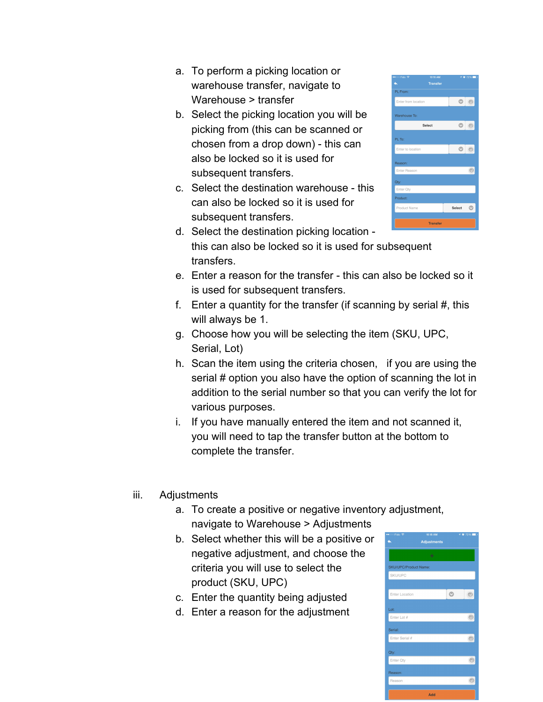- a. To perform a picking location or warehouse transfer, navigate to Warehouse > transfer
- b. Select the picking location you will be picking from (this can be scanned or chosen from a drop down) - this can also be locked so it is used for subsequent transfers.
- c. Select the destination warehouse this can also be locked so it is used for subsequent transfers.



- d. Select the destination picking location this can also be locked so it is used for subsequent transfers.
- e. Enter a reason for the transfer this can also be locked so it is used for subsequent transfers.
- f. Enter a quantity for the transfer (if scanning by serial #, this will always be 1.
- g. Choose how you will be selecting the item (SKU, UPC, Serial, Lot)
- h. Scan the item using the criteria chosen, if you are using the serial # option you also have the option of scanning the lot in addition to the serial number so that you can verify the lot for various purposes.
- i. If you have manually entered the item and not scanned it, you will need to tap the transfer button at the bottom to complete the transfer.
- iii. Adjustments
	- a. To create a positive or negative inventory adjustment, navigate to Warehouse > Adjustments
	- b. Select whether this will be a positive or negative adjustment, and choose the criteria you will use to select the product (SKU, UPC)
	- c. Enter the quantity being adjusted
	- d. Enter a reason for the adjustment